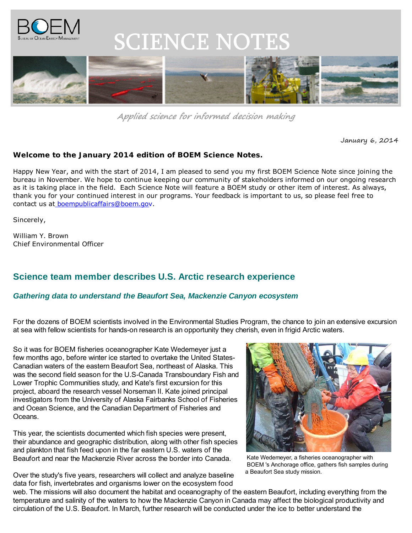

# **SCIENCE NOTES**



**Applied science for informed decision making**

January 6, 2014

### **Welcome to the January 2014 edition of** *BOEM Science Notes***.**

Happy New Year, and with the start of 2014, I am pleased to send you my first BOEM Science Note since joining the bureau in November. We hope to continue keeping our community of stakeholders informed on our ongoing research as it is taking place in the field. Each *Science Note* will feature a BOEM study or other item of interest. As always, thank you for your continued interest in our programs. Your feedback is important to us, so please feel free to contact us [at boempublicaffairs@boem.gov.](mailto:boempublicaffairs@boem.gov)

Sincerely,

William Y. Brown Chief Environmental Officer

## **Science team member describes U.S. Arctic research experience**

## *Gathering data to understand the Beaufort Sea, Mackenzie Canyon ecosystem*

For the dozens of BOEM scientists involved in the Environmental Studies Program, the chance to join an extensive excursion at sea with fellow scientists for hands-on research is an opportunity they cherish, even in frigid Arctic waters.

So it was for BOEM fisheries oceanographer Kate Wedemeyer just a few months ago, before winter ice started to overtake the United States-Canadian waters of the eastern Beaufort Sea, northeast of Alaska. This was the second field season for the U.S-Canada Transboundary Fish and Lower Trophic Communities study, and Kate's first excursion for this project, aboard the research vessel Norseman II. Kate joined principal investigators from the University of Alaska Fairbanks School of Fisheries and Ocean Science, and the Canadian Department of Fisheries and Oceans.

This year, the scientists documented which fish species were present, their abundance and geographic distribution, along with other fish species and plankton that fish feed upon in the far eastern U.S. waters of the Beaufort and near the Mackenzie River across the border into Canada.



 Kate Wedemeyer, a fisheries oceanographer with BOEM 's Anchorage office, gathers fish samples during a Beaufort Sea study mission.

Over the study's five years, researchers will collect and analyze baseline data for fish, invertebrates and organisms lower on the ecosystem food

web. The missions will also document the habitat and oceanography of the eastern Beaufort, including everything from the temperature and salinity of the waters to how the Mackenzie Canyon in Canada may affect the biological productivity and circulation of the U.S. Beaufort. In March, further research will be conducted under the ice to better understand the